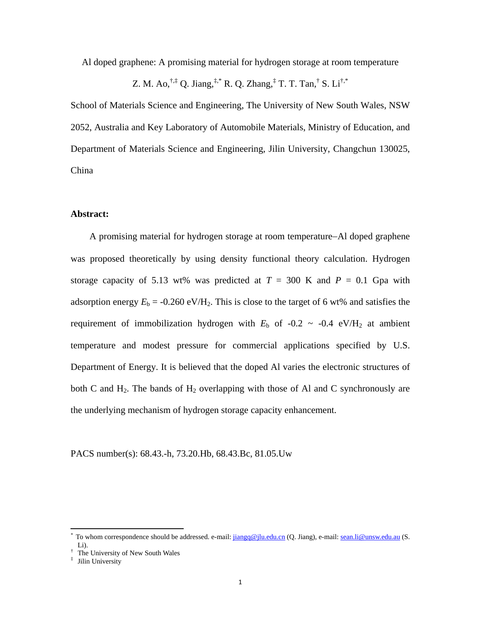Al doped graphene: A promising material for hydrogen storage at room temperature

Z. M. Ao,  $^{\dagger,\ddagger}$  Q. Jiang,  $^{\ddagger,*}$  R. Q. Zhang,  $^{\ddagger}$  T. T. Tan,  $^{\dagger}$  S. Li $^{\dagger,*}$ 

School of Materials Science and Engineering, The University of New South Wales, NSW 2052, Australia and Key Laboratory of Automobile Materials, Ministry of Education, and Department of Materials Science and Engineering, Jilin University, Changchun 130025, China

### **Abstract:**

A promising material for hydrogen storage at room temperature−Al doped graphene was proposed theoretically by using density functional theory calculation. Hydrogen storage capacity of 5.13 wt% was predicted at  $T = 300$  K and  $P = 0.1$  Gpa with adsorption energy  $E_b = -0.260 \text{ eV/H}_2$ . This is close to the target of 6 wt% and satisfies the requirement of immobilization hydrogen with  $E<sub>b</sub>$  of -0.2 ~ -0.4 eV/H<sub>2</sub> at ambient temperature and modest pressure for commercial applications specified by U.S. Department of Energy. It is believed that the doped Al varies the electronic structures of both C and  $H_2$ . The bands of  $H_2$  overlapping with those of Al and C synchronously are the underlying mechanism of hydrogen storage capacity enhancement.

PACS number(s): 68.43.-h, 73.20.Hb, 68.43.Bc, 81.05.Uw

<sup>\*</sup> To whom correspondence should be addressed. e-mail:  $jiang@jlu.edu.cn$  (Q. Jiang), e-mail: sean.li@unsw.edu.au (S. Li).

<sup>†</sup> The University of New South Wales

<sup>‡</sup> Jilin University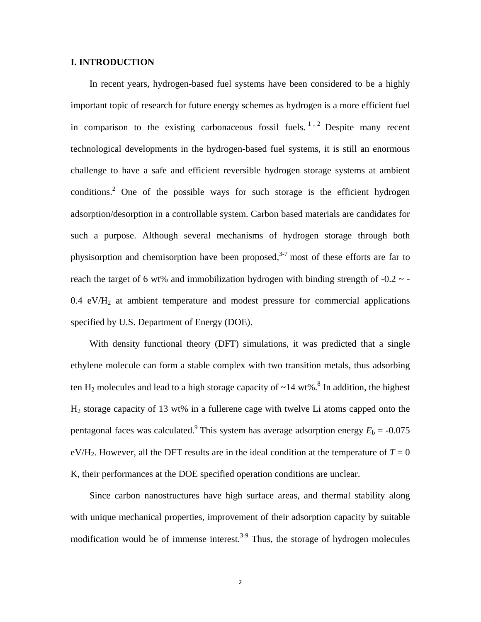### **I. INTRODUCTION**

In recent years, hydrogen-based fuel systems have been considered to be a highly important topic of research for future energy schemes as hydrogen is a more efficient fuel in comparison to the existing carbonaceous fossil fuels.<sup>1, 2</sup> Despite many recent technological developments in the hydrogen-based fuel systems, it is still an enormous challenge to have a safe and efficient reversible hydrogen storage systems at ambient conditions.<sup>2</sup> One of the possible ways for such storage is the efficient hydrogen adsorption/desorption in a controllable system. Carbon based materials are candidates for such a purpose. Although several mechanisms of hydrogen storage through both physisorption and chemisorption have been proposed, $3-7$  most of these efforts are far to reach the target of 6 wt% and immobilization hydrogen with binding strength of  $-0.2 \sim -1$  $0.4 \text{ eV/H}_2$  at ambient temperature and modest pressure for commercial applications specified by U.S. Department of Energy (DOE).

With density functional theory (DFT) simulations, it was predicted that a single ethylene molecule can form a stable complex with two transition metals, thus adsorbing ten  $H_2$  molecules and lead to a high storage capacity of  $\sim$ 14 wt%.<sup>8</sup> In addition, the highest H2 storage capacity of 13 wt% in a fullerene cage with twelve Li atoms capped onto the pentagonal faces was calculated.<sup>9</sup> This system has average adsorption energy  $E_b = -0.075$ eV/H<sub>2</sub>. However, all the DFT results are in the ideal condition at the temperature of  $T = 0$ K, their performances at the DOE specified operation conditions are unclear.

Since carbon nanostructures have high surface areas, and thermal stability along with unique mechanical properties, improvement of their adsorption capacity by suitable modification would be of immense interest.<sup>3-9</sup> Thus, the storage of hydrogen molecules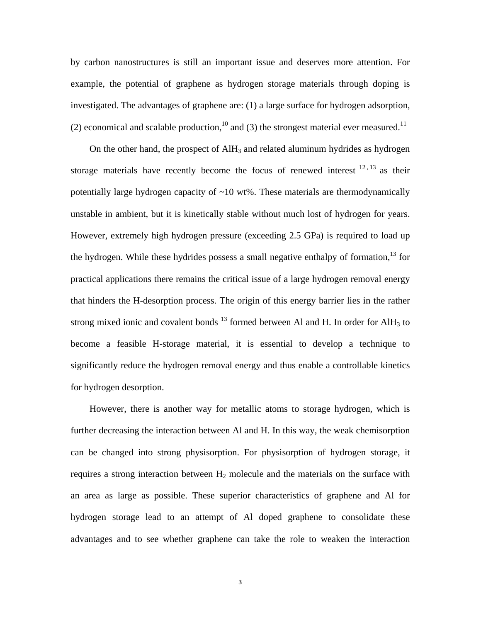by carbon nanostructures is still an important issue and deserves more attention. For example, the potential of graphene as hydrogen storage materials through doping is investigated. The advantages of graphene are: (1) a large surface for hydrogen adsorption, (2) economical and scalable production,<sup>10</sup> and (3) the strongest material ever measured.<sup>11</sup>

On the other hand, the prospect of  $\text{AlH}_3$  and related aluminum hydrides as hydrogen storage materials have recently become the focus of renewed interest  $^{12, 13}$  as their potentially large hydrogen capacity of  $\sim$ 10 wt%. These materials are thermodynamically unstable in ambient, but it is kinetically stable without much lost of hydrogen for years. However, extremely high hydrogen pressure (exceeding 2.5 GPa) is required to load up the hydrogen. While these hydrides possess a small negative enthalpy of formation,<sup>13</sup> for practical applications there remains the critical issue of a large hydrogen removal energy that hinders the H-desorption process. The origin of this energy barrier lies in the rather strong mixed ionic and covalent bonds  $^{13}$  formed between Al and H. In order for AlH<sub>3</sub> to become a feasible H-storage material, it is essential to develop a technique to significantly reduce the hydrogen removal energy and thus enable a controllable kinetics for hydrogen desorption.

However, there is another way for metallic atoms to storage hydrogen, which is further decreasing the interaction between Al and H. In this way, the weak chemisorption can be changed into strong physisorption. For physisorption of hydrogen storage, it requires a strong interaction between  $H_2$  molecule and the materials on the surface with an area as large as possible. These superior characteristics of graphene and Al for hydrogen storage lead to an attempt of Al doped graphene to consolidate these advantages and to see whether graphene can take the role to weaken the interaction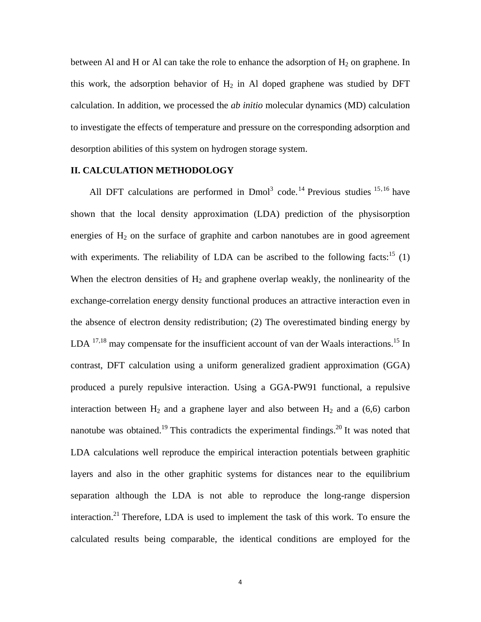between Al and H or Al can take the role to enhance the adsorption of  $H_2$  on graphene. In this work, the adsorption behavior of  $H_2$  in Al doped graphene was studied by DFT calculation. In addition, we processed the *ab initio* molecular dynamics (MD) calculation to investigate the effects of temperature and pressure on the corresponding adsorption and desorption abilities of this system on hydrogen storage system.

## **II. CALCULATION METHODOLOGY**

All DFT calculations are performed in  $Dmol<sup>3</sup> code.<sup>14</sup> Previous studies<sup>15,16</sup> have$ shown that the local density approximation (LDA) prediction of the physisorption energies of  $H_2$  on the surface of graphite and carbon nanotubes are in good agreement with experiments. The reliability of LDA can be ascribed to the following facts:<sup>15</sup> (1) When the electron densities of  $H_2$  and graphene overlap weakly, the nonlinearity of the exchange-correlation energy density functional produces an attractive interaction even in the absence of electron density redistribution; (2) The overestimated binding energy by LDA <sup>17,18</sup> may compensate for the insufficient account of van der Waals interactions.<sup>15</sup> In contrast, DFT calculation using a uniform generalized gradient approximation (GGA) produced a purely repulsive interaction. Using a GGA-PW91 functional, a repulsive interaction between  $H_2$  and a graphene layer and also between  $H_2$  and a (6,6) carbon nanotube was obtained.<sup>19</sup> This contradicts the experimental findings.<sup>20</sup> It was noted that LDA calculations well reproduce the empirical interaction potentials between graphitic layers and also in the other graphitic systems for distances near to the equilibrium separation although the LDA is not able to reproduce the long-range dispersion interaction.<sup>21</sup> Therefore, LDA is used to implement the task of this work. To ensure the calculated results being comparable, the identical conditions are employed for the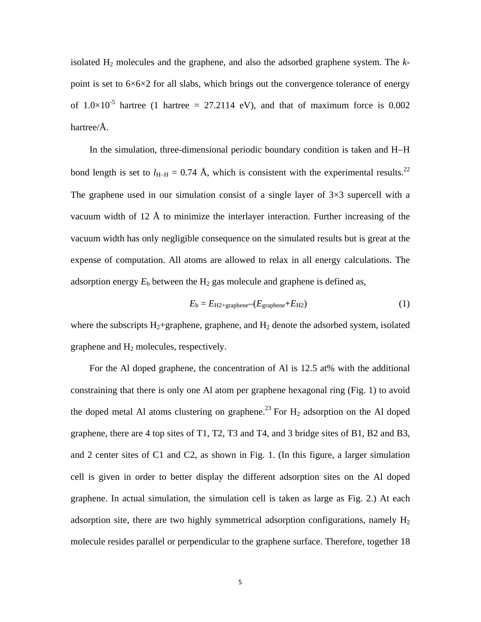isolated H2 molecules and the graphene, and also the adsorbed graphene system. The *k*point is set to  $6\times6\times2$  for all slabs, which brings out the convergence tolerance of energy of  $1.0\times10^{-5}$  hartree (1 hartree = 27.2114 eV), and that of maximum force is 0.002 hartree/Å.

In the simulation, three-dimensional periodic boundary condition is taken and H−H bond length is set to  $l_{\text{H-H}} = 0.74 \text{ Å}$ , which is consistent with the experimental results.<sup>22</sup> The graphene used in our simulation consist of a single layer of  $3\times3$  supercell with a vacuum width of 12 Å to minimize the interlayer interaction. Further increasing of the vacuum width has only negligible consequence on the simulated results but is great at the expense of computation. All atoms are allowed to relax in all energy calculations. The adsorption energy  $E<sub>b</sub>$  between the  $H<sub>2</sub>$  gas molecule and graphene is defined as,

$$
E_b = E_{H2+graphene} - (E_{graphene} + E_{H2})
$$
\n<sup>(1)</sup>

where the subscripts  $H_2$ +graphene, graphene, and  $H_2$  denote the adsorbed system, isolated graphene and H2 molecules, respectively.

For the Al doped graphene, the concentration of Al is 12.5 at% with the additional constraining that there is only one Al atom per graphene hexagonal ring (Fig. 1) to avoid the doped metal Al atoms clustering on graphene.<sup>23</sup> For  $H_2$  adsorption on the Al doped graphene, there are 4 top sites of T1, T2, T3 and T4, and 3 bridge sites of B1, B2 and B3, and 2 center sites of C1 and C2, as shown in Fig. 1. (In this figure, a larger simulation cell is given in order to better display the different adsorption sites on the Al doped graphene. In actual simulation, the simulation cell is taken as large as Fig. 2.) At each adsorption site, there are two highly symmetrical adsorption configurations, namely  $H_2$ molecule resides parallel or perpendicular to the graphene surface. Therefore, together 18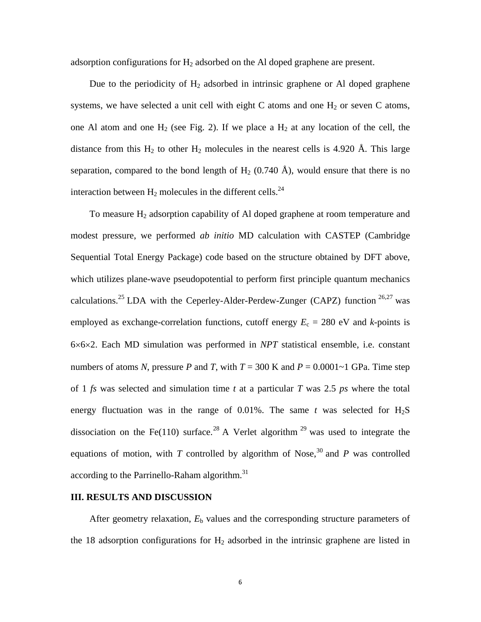adsorption configurations for  $H_2$  adsorbed on the Al doped graphene are present.

Due to the periodicity of  $H_2$  adsorbed in intrinsic graphene or Al doped graphene systems, we have selected a unit cell with eight C atoms and one  $H_2$  or seven C atoms, one Al atom and one  $H_2$  (see Fig. 2). If we place a  $H_2$  at any location of the cell, the distance from this  $H_2$  to other  $H_2$  molecules in the nearest cells is 4.920 Å. This large separation, compared to the bond length of  $H_2$  (0.740 Å), would ensure that there is no interaction between  $H_2$  molecules in the different cells.<sup>24</sup>

To measure  $H_2$  adsorption capability of Al doped graphene at room temperature and modest pressure, we performed *ab initio* MD calculation with CASTEP (Cambridge Sequential Total Energy Package) code based on the structure obtained by DFT above, which utilizes plane-wave pseudopotential to perform first principle quantum mechanics calculations.<sup>25</sup> LDA with the Ceperley-Alder-Perdew-Zunger (CAPZ) function  $26.27$  was employed as exchange-correlation functions, cutoff energy  $E_c = 280$  eV and *k*-points is 6×6×2. Each MD simulation was performed in *NPT* statistical ensemble, i.e. constant numbers of atoms *N*, pressure *P* and *T*, with  $T = 300$  K and  $P = 0.0001 \sim 1$  GPa. Time step of 1 *fs* was selected and simulation time *t* at a particular *T* was 2.5 *ps* where the total energy fluctuation was in the range of  $0.01\%$ . The same *t* was selected for  $H_2S$ dissociation on the Fe(110) surface.<sup>28</sup> A Verlet algorithm <sup>29</sup> was used to integrate the equations of motion, with *T* controlled by algorithm of Nose,<sup>30</sup> and *P* was controlled according to the Parrinello-Raham algorithm. $31$ 

# **III. RESULTS AND DISCUSSION**

After geometry relaxation,  $E<sub>b</sub>$  values and the corresponding structure parameters of the 18 adsorption configurations for  $H_2$  adsorbed in the intrinsic graphene are listed in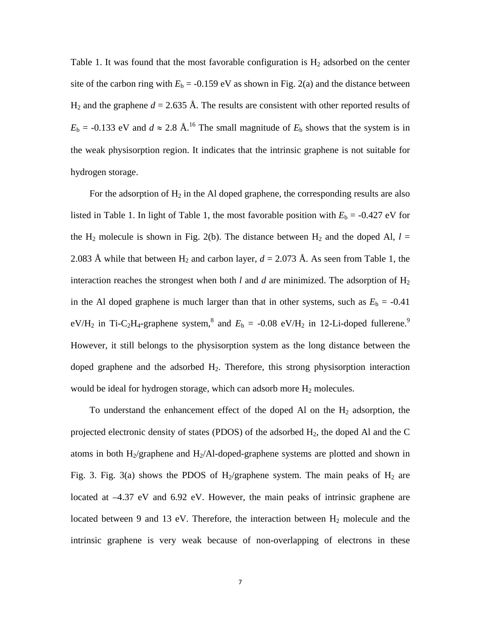Table 1. It was found that the most favorable configuration is  $H_2$  adsorbed on the center site of the carbon ring with  $E<sub>b</sub> = -0.159$  eV as shown in Fig. 2(a) and the distance between  $H_2$  and the graphene  $d = 2.635$  Å. The results are consistent with other reported results of  $E<sub>b</sub> = -0.133$  eV and  $d \approx 2.8$  Å.<sup>16</sup> The small magnitude of  $E<sub>b</sub>$  shows that the system is in the weak physisorption region. It indicates that the intrinsic graphene is not suitable for hydrogen storage.

For the adsorption of  $H_2$  in the Al doped graphene, the corresponding results are also listed in Table 1. In light of Table 1, the most favorable position with  $E<sub>b</sub> = -0.427$  eV for the H<sub>2</sub> molecule is shown in Fig. 2(b). The distance between H<sub>2</sub> and the doped Al,  $l =$ 2.083 Å while that between H<sub>2</sub> and carbon layer,  $d = 2.073$  Å. As seen from Table 1, the interaction reaches the strongest when both  $l$  and  $d$  are minimized. The adsorption of  $H_2$ in the Al doped graphene is much larger than that in other systems, such as  $E<sub>b</sub> = -0.41$ eV/H<sub>2</sub> in Ti-C<sub>2</sub>H<sub>4</sub>-graphene system,<sup>8</sup> and  $E<sub>b</sub> = -0.08$  eV/H<sub>2</sub> in 12-Li-doped fullerene.<sup>9</sup> However, it still belongs to the physisorption system as the long distance between the doped graphene and the adsorbed  $H_2$ . Therefore, this strong physisorption interaction would be ideal for hydrogen storage, which can adsorb more  $H_2$  molecules.

To understand the enhancement effect of the doped Al on the  $H_2$  adsorption, the projected electronic density of states (PDOS) of the adsorbed  $H_2$ , the doped Al and the C atoms in both  $H_2$ /graphene and  $H_2$ /Al-doped-graphene systems are plotted and shown in Fig. 3. Fig. 3(a) shows the PDOS of H<sub>2</sub>/graphene system. The main peaks of H<sub>2</sub> are located at –4.37 eV and 6.92 eV. However, the main peaks of intrinsic graphene are located between 9 and 13 eV. Therefore, the interaction between  $H_2$  molecule and the intrinsic graphene is very weak because of non-overlapping of electrons in these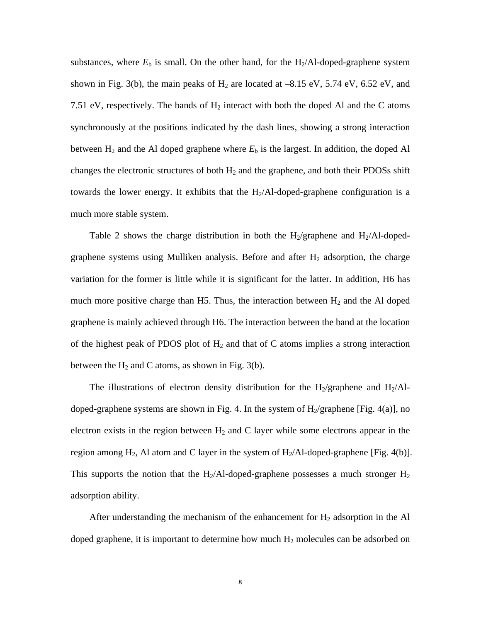substances, where  $E<sub>b</sub>$  is small. On the other hand, for the H<sub>2</sub>/Al-doped-graphene system shown in Fig. 3(b), the main peaks of  $H_2$  are located at  $-8.15$  eV,  $5.74$  eV,  $6.52$  eV, and 7.51 eV, respectively. The bands of  $H_2$  interact with both the doped Al and the C atoms synchronously at the positions indicated by the dash lines, showing a strong interaction between  $H_2$  and the Al doped graphene where  $E_b$  is the largest. In addition, the doped Al changes the electronic structures of both  $H_2$  and the graphene, and both their PDOSs shift towards the lower energy. It exhibits that the  $H<sub>2</sub>/Al-doped-graphene$  configuration is a much more stable system.

Table 2 shows the charge distribution in both the H<sub>2</sub>/graphene and H<sub>2</sub>/Al-dopedgraphene systems using Mulliken analysis. Before and after  $H_2$  adsorption, the charge variation for the former is little while it is significant for the latter. In addition, H6 has much more positive charge than H5. Thus, the interaction between  $H_2$  and the Al doped graphene is mainly achieved through H6. The interaction between the band at the location of the highest peak of PDOS plot of  $H_2$  and that of C atoms implies a strong interaction between the  $H_2$  and C atoms, as shown in Fig. 3(b).

The illustrations of electron density distribution for the H<sub>2</sub>/graphene and H<sub>2</sub>/Aldoped-graphene systems are shown in Fig. 4. In the system of  $H_2$ /graphene [Fig. 4(a)], no electron exists in the region between  $H_2$  and C layer while some electrons appear in the region among  $H_2$ , Al atom and C layer in the system of  $H_2/A$ l-doped-graphene [Fig. 4(b)]. This supports the notion that the H<sub>2</sub>/Al-doped-graphene possesses a much stronger  $H_2$ adsorption ability.

After understanding the mechanism of the enhancement for  $H_2$  adsorption in the Al doped graphene, it is important to determine how much  $H_2$  molecules can be adsorbed on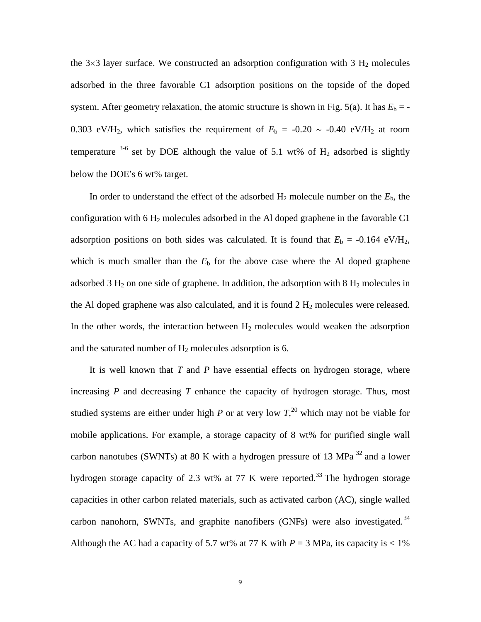the  $3\times3$  layer surface. We constructed an adsorption configuration with 3 H<sub>2</sub> molecules adsorbed in the three favorable C1 adsorption positions on the topside of the doped system. After geometry relaxation, the atomic structure is shown in Fig. 5(a). It has  $E<sub>b</sub> = -$ 0.303 eV/H<sub>2</sub>, which satisfies the requirement of  $E<sub>b</sub> = -0.20 \sim -0.40$  eV/H<sub>2</sub> at room temperature  $3-6$  set by DOE although the value of 5.1 wt% of H<sub>2</sub> adsorbed is slightly below the DOE′s 6 wt% target.

In order to understand the effect of the adsorbed  $H_2$  molecule number on the  $E_b$ , the configuration with 6  $H_2$  molecules adsorbed in the Al doped graphene in the favorable C1 adsorption positions on both sides was calculated. It is found that  $E<sub>b</sub> = -0.164$  eV/H<sub>2</sub>, which is much smaller than the  $E<sub>b</sub>$  for the above case where the Al doped graphene adsorbed 3  $H_2$  on one side of graphene. In addition, the adsorption with 8  $H_2$  molecules in the Al doped graphene was also calculated, and it is found  $2 H_2$  molecules were released. In the other words, the interaction between  $H_2$  molecules would weaken the adsorption and the saturated number of  $H_2$  molecules adsorption is 6.

It is well known that *T* and *P* have essential effects on hydrogen storage, where increasing *P* and decreasing *T* enhance the capacity of hydrogen storage. Thus, most studied systems are either under high *P* or at very low  $T<sub>1</sub><sup>20</sup>$  which may not be viable for mobile applications. For example, a storage capacity of 8 wt% for purified single wall carbon nanotubes (SWNTs) at 80 K with a hydrogen pressure of 13 MPa 32 and a lower hydrogen storage capacity of 2.3 wt% at 77 K were reported.<sup>33</sup> The hydrogen storage capacities in other carbon related materials, such as activated carbon (AC), single walled carbon nanohorn, SWNTs, and graphite nanofibers (GNFs) were also investigated.<sup>34</sup> Although the AC had a capacity of 5.7 wt% at 77 K with  $P = 3$  MPa, its capacity is  $\lt 1\%$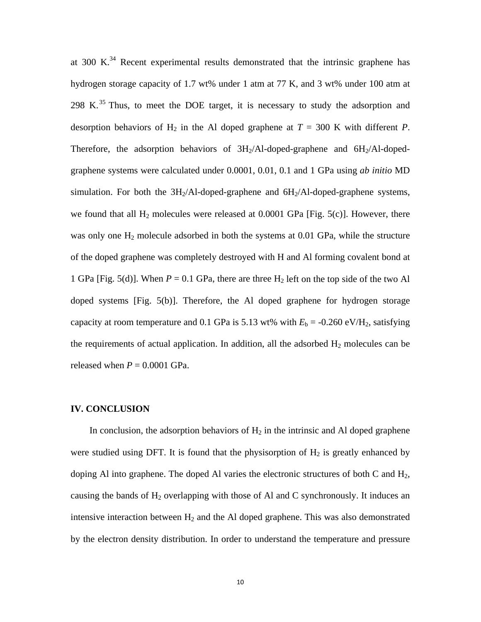at  $300 \text{ K.}^{34}$  Recent experimental results demonstrated that the intrinsic graphene has hydrogen storage capacity of 1.7 wt% under 1 atm at 77 K, and 3 wt% under 100 atm at 298 K. $^{35}$  Thus, to meet the DOE target, it is necessary to study the adsorption and desorption behaviors of  $H_2$  in the Al doped graphene at  $T = 300$  K with different P. Therefore, the adsorption behaviors of  $3H<sub>2</sub>/Al-doped-graphene$  and  $6H<sub>2</sub>/Al-doped$ graphene systems were calculated under 0.0001, 0.01, 0.1 and 1 GPa using *ab initio* MD simulation. For both the  $3H_2/A$ l-doped-graphene and  $6H_2/A$ l-doped-graphene systems, we found that all  $H_2$  molecules were released at 0.0001 GPa [Fig. 5(c)]. However, there was only one  $H_2$  molecule adsorbed in both the systems at 0.01 GPa, while the structure of the doped graphene was completely destroyed with H and Al forming covalent bond at 1 GPa [Fig. 5(d)]. When  $P = 0.1$  GPa, there are three H<sub>2</sub> left on the top side of the two Al doped systems [Fig. 5(b)]. Therefore, the Al doped graphene for hydrogen storage capacity at room temperature and 0.1 GPa is 5.13 wt% with  $E<sub>b</sub> = -0.260 \text{ eV/H}_2$ , satisfying the requirements of actual application. In addition, all the adsorbed  $H_2$  molecules can be released when  $P = 0.0001$  GPa.

#### **IV. CONCLUSION**

In conclusion, the adsorption behaviors of  $H_2$  in the intrinsic and Al doped graphene were studied using DFT. It is found that the physisorption of  $H_2$  is greatly enhanced by doping Al into graphene. The doped Al varies the electronic structures of both C and  $H_2$ , causing the bands of  $H_2$  overlapping with those of Al and C synchronously. It induces an intensive interaction between  $H_2$  and the Al doped graphene. This was also demonstrated by the electron density distribution. In order to understand the temperature and pressure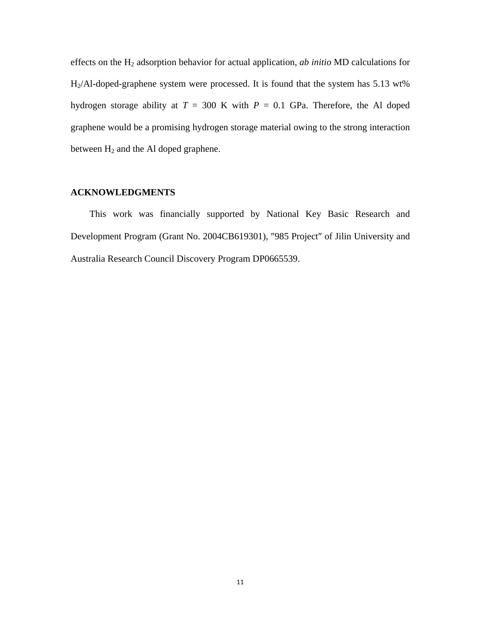effects on the H2 adsorption behavior for actual application, *ab initio* MD calculations for H2/Al-doped-graphene system were processed. It is found that the system has 5.13 wt% hydrogen storage ability at  $T = 300$  K with  $P = 0.1$  GPa. Therefore, the Al doped graphene would be a promising hydrogen storage material owing to the strong interaction between  $H_2$  and the Al doped graphene.

# **ACKNOWLEDGMENTS**

This work was financially supported by National Key Basic Research and Development Program (Grant No. 2004CB619301), ″985 Project″ of Jilin University and Australia Research Council Discovery Program DP0665539.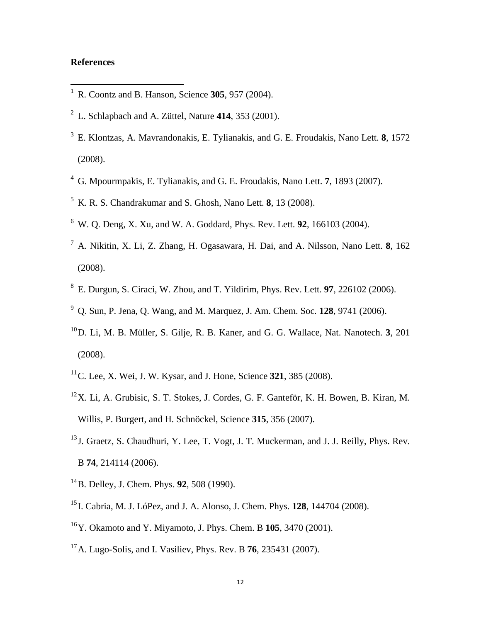# **References**

- 1 R. Coontz and B. Hanson, Science **305**, 957 (2004).
- 2 L. Schlapbach and A. Züttel, Nature **414**, 353 (2001).
- 3 E. Klontzas, A. Mavrandonakis, E. Tylianakis, and G. E. Froudakis, Nano Lett. **8**, 1572 (2008).
- 4 G. Mpourmpakis, E. Tylianakis, and G. E. Froudakis, Nano Lett. **7**, 1893 (2007).
- 5 K. R. S. Chandrakumar and S. Ghosh, Nano Lett. **8**, 13 (2008).
- 6 W. Q. Deng, X. Xu, and W. A. Goddard, Phys. Rev. Lett. **92**, 166103 (2004).
- 7 A. Nikitin, X. Li, Z. Zhang, H. Ogasawara, H. Dai, and A. Nilsson, Nano Lett. **8**, 162 (2008).
- 8 E. Durgun, S. Ciraci, W. Zhou, and T. Yildirim, Phys. Rev. Lett. **97**, 226102 (2006).
- 9 Q. Sun, P. Jena, Q. Wang, and M. Marquez, J. Am. Chem. Soc*.* **128**, 9741 (2006).
- 10 D. Li, M. B. Müller, S. Gilje, R. B. Kaner, and G. G. Wallace, Nat. Nanotech. **3**, 201 (2008).
- 11 C. Lee, X. Wei, J. W. Kysar, and J. Hone, Science **321**, 385 (2008).
- $12$ X. Li, A. Grubisic, S. T. Stokes, J. Cordes, G. F. Ganteför, K. H. Bowen, B. Kiran, M. Willis, P. Burgert, and H. Schnöckel, Science **315**, 356 (2007).
- <sup>13</sup> J. Graetz, S. Chaudhuri, Y. Lee, T. Vogt, J. T. Muckerman, and J. J. Reilly, Phys. Rev. B **74**, 214114 (2006).
- 14 B. Delley, J. Chem. Phys. **92**, 508 (1990).
- 15 I. Cabria, M. J. LóPez, and J. A. Alonso, J. Chem. Phys. **128**, 144704 (2008).
- 16 Y. Okamoto and Y. Miyamoto, J. Phys. Chem. B **105**, 3470 (2001).
- 17 A. Lugo-Solis, and I. Vasiliev, Phys. Rev. B **76**, 235431 (2007).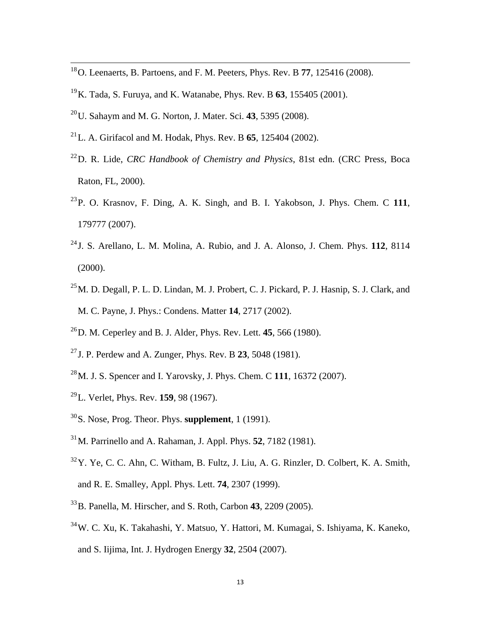- 18 O. Leenaerts, B. Partoens, and F. M. Peeters, Phys. Rev. B **77**, 125416 (2008).
- 19 K. Tada, S. Furuya, and K. Watanabe, Phys. Rev. B **63**, 155405 (2001).
- 20 U. Sahaym and M. G. Norton, J. Mater. Sci. **43**, 5395 (2008).
- 21 L. A. Girifacol and M. Hodak, Phys. Rev. B **65**, 125404 (2002).
- 22 D. R. Lide, *CRC Handbook of Chemistry and Physics*, 81st edn. (CRC Press, Boca Raton, FL, 2000).
- 23 P. O. Krasnov, F. Ding, A. K. Singh, and B. I. Yakobson, J. Phys. Chem. C **111**, 179777 (2007).
- 24 J. S. Arellano, L. M. Molina, A. Rubio, and J. A. Alonso, J. Chem. Phys. **112**, 8114 (2000).
- <sup>25</sup> M. D. Degall, P. L. D. Lindan, M. J. Probert, C. J. Pickard, P. J. Hasnip, S. J. Clark, and M. C. Payne, J. Phys.: Condens. Matter **14**, 2717 (2002).
- 26 D. M. Ceperley and B. J. Alder, Phys. Rev. Lett. **45**, 566 (1980).
- 27 J. P. Perdew and A. Zunger, Phys. Rev. B **23**, 5048 (1981).
- 28 M. J. S. Spencer and I. Yarovsky, J. Phys. Chem. C **111**, 16372 (2007).
- 29 L. Verlet, Phys. Rev. **159**, 98 (1967).
- 30 S. Nose, Prog. Theor. Phys. **supplement**, 1 (1991).
- 31 M. Parrinello and A. Rahaman, J. Appl. Phys. **52**, 7182 (1981).
- $32$  Y. Ye, C. C. Ahn, C. Witham, B. Fultz, J. Liu, A. G. Rinzler, D. Colbert, K. A. Smith, and R. E. Smalley, Appl. Phys. Lett. **74**, 2307 (1999).
- 33 B. Panella, M. Hirscher, and S. Roth, Carbon **43**, 2209 (2005).
- 34 W. C. Xu, K. Takahashi, Y. Matsuo, Y. Hattori, M. Kumagai, S. Ishiyama, K. Kaneko, and S. Iijima, Int. J. Hydrogen Energy **32**, 2504 (2007).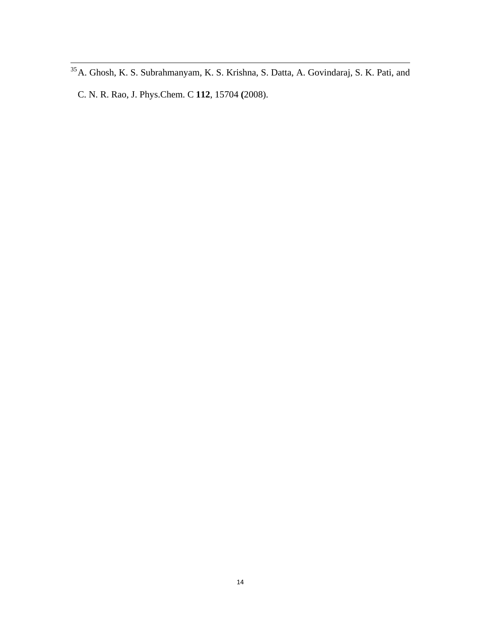<sup>&</sup>lt;sup>35</sup> A. Ghosh, K. S. Subrahmanyam, K. S. Krishna, S. Datta, A. Govindaraj, S. K. Pati, and C. N. R. Rao, J. Phys.Chem. C **112**, 15704 **(**2008).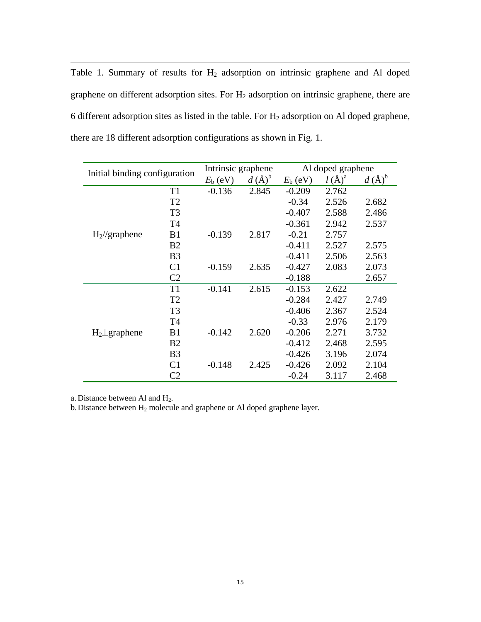Table 1. Summary of results for  $H_2$  adsorption on intrinsic graphene and Al doped graphene on different adsorption sites. For  $H_2$  adsorption on intrinsic graphene, there are 6 different adsorption sites as listed in the table. For  $H_2$  adsorption on Al doped graphene, there are 18 different adsorption configurations as shown in Fig. 1.

| Initial binding configuration |                | Intrinsic graphene |                         | Al doped graphene |          |                                           |
|-------------------------------|----------------|--------------------|-------------------------|-------------------|----------|-------------------------------------------|
|                               |                | $E_{\rm b}$ (eV)   | $d\left(\AA\right)^{5}$ | $E_{\rm b}$ (eV)  | $l(A)^a$ | $\underline{d}(\check{A})^{\overline{b}}$ |
| $H_2$ //graphene              | T <sub>1</sub> | $-0.136$           | 2.845                   | $-0.209$          | 2.762    |                                           |
|                               | T <sub>2</sub> |                    |                         | $-0.34$           | 2.526    | 2.682                                     |
|                               | T <sub>3</sub> |                    |                         | $-0.407$          | 2.588    | 2.486                                     |
|                               | T <sub>4</sub> |                    |                         | $-0.361$          | 2.942    | 2.537                                     |
|                               | B <sub>1</sub> | $-0.139$           | 2.817                   | $-0.21$           | 2.757    |                                           |
|                               | B <sub>2</sub> |                    |                         | $-0.411$          | 2.527    | 2.575                                     |
|                               | B <sub>3</sub> |                    |                         | $-0.411$          | 2.506    | 2.563                                     |
|                               | C <sub>1</sub> | $-0.159$           | 2.635                   | $-0.427$          | 2.083    | 2.073                                     |
|                               | C <sub>2</sub> |                    |                         | $-0.188$          |          | 2.657                                     |
| $H_2 \perp$ graphene          | T1             | $-0.141$           | 2.615                   | $-0.153$          | 2.622    |                                           |
|                               | T <sub>2</sub> |                    |                         | $-0.284$          | 2.427    | 2.749                                     |
|                               | T <sub>3</sub> |                    |                         | $-0.406$          | 2.367    | 2.524                                     |
|                               | T <sub>4</sub> |                    |                         | $-0.33$           | 2.976    | 2.179                                     |
|                               | B1             | $-0.142$           | 2.620                   | $-0.206$          | 2.271    | 3.732                                     |
|                               | B <sub>2</sub> |                    |                         | $-0.412$          | 2.468    | 2.595                                     |
|                               | B <sub>3</sub> |                    |                         | $-0.426$          | 3.196    | 2.074                                     |
|                               | C <sub>1</sub> | $-0.148$           | 2.425                   | $-0.426$          | 2.092    | 2.104                                     |
|                               | C <sub>2</sub> |                    |                         | $-0.24$           | 3.117    | 2.468                                     |

a. Distance between Al and H2.

b. Distance between  $H_2$  molecule and graphene or Al doped graphene layer.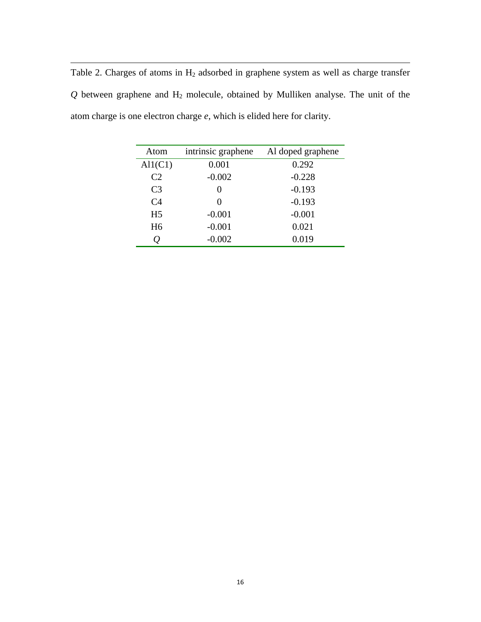Table 2. Charges of atoms in  $H_2$  adsorbed in graphene system as well as charge transfer  $Q$  between graphene and  $H_2$  molecule, obtained by Mulliken analyse. The unit of the atom charge is one electron charge *e*, which is elided here for clarity.

| Atom           | intrinsic graphene | Al doped graphene |  |  |
|----------------|--------------------|-------------------|--|--|
| Al1(C1)        | 0.001              | 0.292             |  |  |
| C <sub>2</sub> | $-0.002$           | $-0.228$          |  |  |
| C <sub>3</sub> | $\mathbf{0}$       | $-0.193$          |  |  |
| C <sub>4</sub> | $\mathbf{\Omega}$  | $-0.193$          |  |  |
| H <sub>5</sub> | $-0.001$           | $-0.001$          |  |  |
| H <sub>6</sub> | $-0.001$           | 0.021             |  |  |
|                | $-0.002$           | 0.019             |  |  |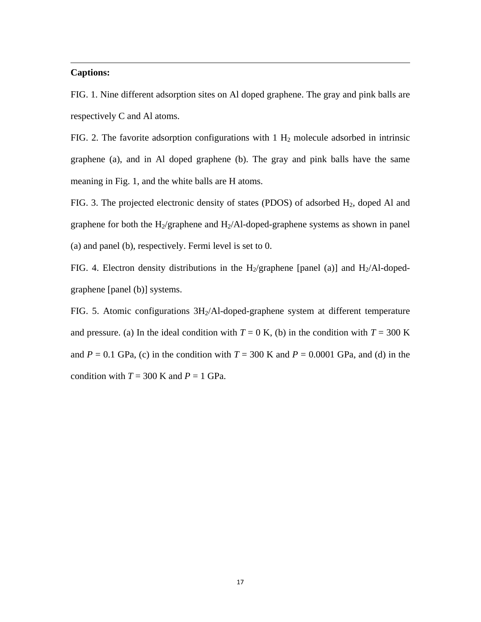### **Captions:**

FIG. 1. Nine different adsorption sites on Al doped graphene. The gray and pink balls are respectively C and Al atoms.

<u> 1989 - Johann Stoff, amerikansk politiker (d. 1989)</u>

FIG. 2. The favorite adsorption configurations with  $1 H_2$  molecule adsorbed in intrinsic graphene (a), and in Al doped graphene (b). The gray and pink balls have the same meaning in Fig. 1, and the white balls are H atoms.

FIG. 3. The projected electronic density of states (PDOS) of adsorbed  $H_2$ , doped Al and graphene for both the H<sub>2</sub>/graphene and H<sub>2</sub>/Al-doped-graphene systems as shown in panel (a) and panel (b), respectively. Fermi level is set to 0.

FIG. 4. Electron density distributions in the H<sub>2</sub>/graphene [panel (a)] and H<sub>2</sub>/Al-dopedgraphene [panel (b)] systems.

FIG. 5. Atomic configurations  $3H<sub>2</sub>/Al-doped-graphene$  system at different temperature and pressure. (a) In the ideal condition with  $T = 0$  K, (b) in the condition with  $T = 300$  K and  $P = 0.1$  GPa, (c) in the condition with  $T = 300$  K and  $P = 0.0001$  GPa, and (d) in the condition with  $T = 300$  K and  $P = 1$  GPa.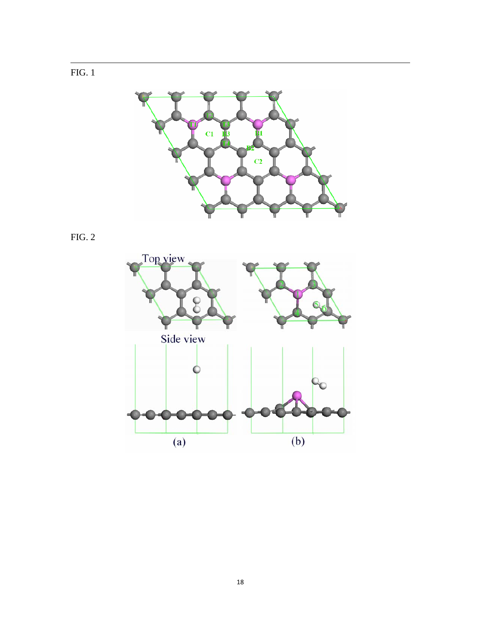



FIG. 2

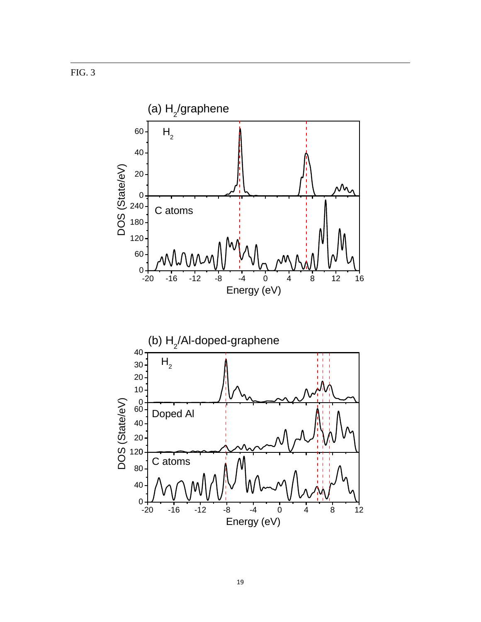FIG. 3



<u> 1989 - Johann Stoff, amerikansk politiker (d. 1989)</u>